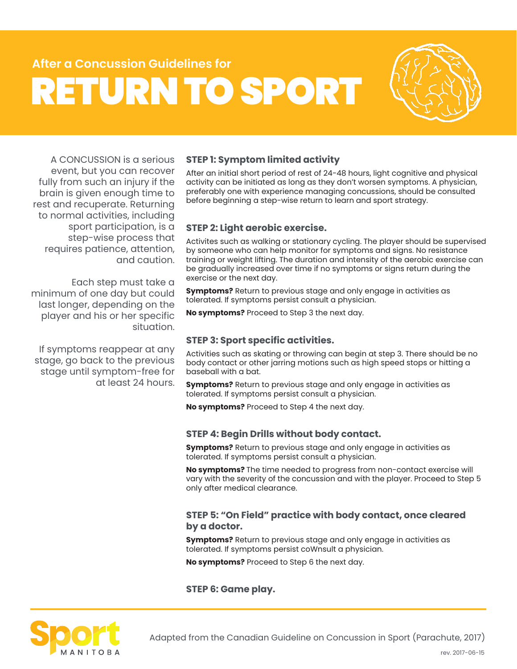## **After a Concussion Guidelines for** RETURN TO SPORT



A CONCUSSION is a serious event, but you can recover fully from such an injury if the brain is given enough time to rest and recuperate. Returning to normal activities, including sport participation, is a step-wise process that requires patience, attention, and caution.

Each step must take a minimum of one day but could last longer, depending on the player and his or her specific situation.

If symptoms reappear at any stage, go back to the previous stage until symptom-free for at least 24 hours.

### **STEP 1: Symptom limited activity**

After an initial short period of rest of 24-48 hours, light cognitive and physical activity can be initiated as long as they don't worsen symptoms. A physician, preferably one with experience managing concussions, should be consulted before beginning a step-wise return to learn and sport strategy.

### **STEP 2: Light aerobic exercise.**

Activites such as walking or stationary cycling. The player should be supervised by someone who can help monitor for symptoms and signs. No resistance training or weight lifting. The duration and intensity of the aerobic exercise can be gradually increased over time if no symptoms or signs return during the exercise or the next day.

**Symptoms?** Return to previous stage and only engage in activities as tolerated. If symptoms persist consult a physician.

**No symptoms?** Proceed to Step 3 the next day.

### **STEP 3: Sport specific activities.**

Activities such as skating or throwing can begin at step 3. There should be no body contact or other jarring motions such as high speed stops or hitting a baseball with a bat.

**Symptoms?** Return to previous stage and only engage in activities as tolerated. If symptoms persist consult a physician.

**No symptoms?** Proceed to Step 4 the next day.

### **STEP 4: Begin Drills without body contact.**

**Symptoms?** Return to previous stage and only engage in activities as tolerated. If symptoms persist consult a physician.

**No symptoms?** The time needed to progress from non-contact exercise will vary with the severity of the concussion and with the player. Proceed to Step 5 only after medical clearance.

### **STEP 5: "On Field" practice with body contact, once cleared by a doctor.**

**Symptoms?** Return to previous stage and only engage in activities as tolerated. If symptoms persist coWnsult a physician.

**No symptoms?** Proceed to Step 6 the next day.

### **STEP 6: Game play.**



Adapted from the Canadian Guideline on Concussion in Sport (Parachute, 2017)